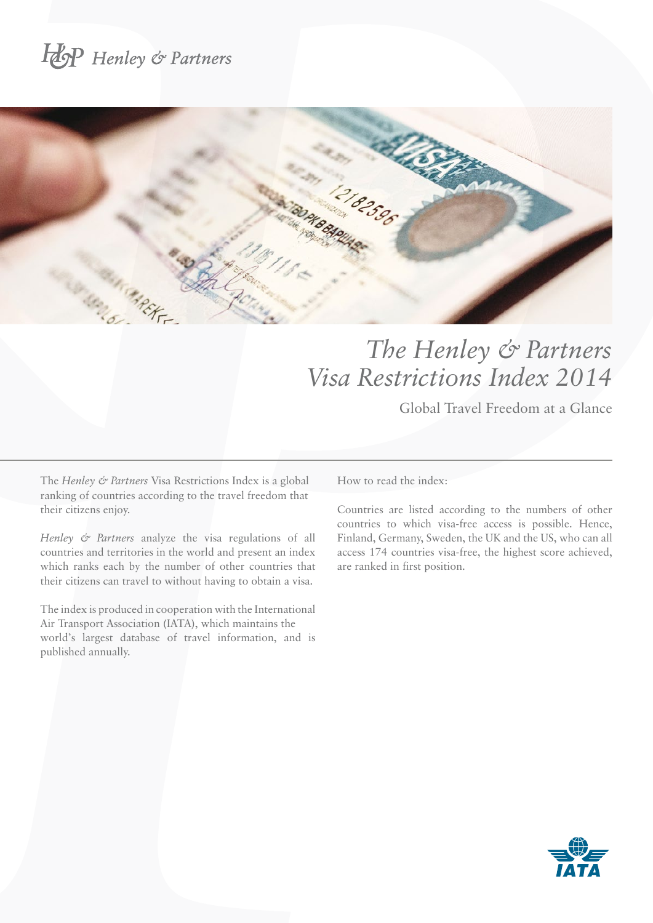# Hop Henley & Partners



## *The Henley & Partners Visa Restrictions Index 2014*

Global Travel Freedom at a Glance

The *Henley & Partners* Visa Restrictions Index is a global ranking of countries according to the travel freedom that their citizens enjoy.

*Henley & Partners* analyze the visa regulations of all countries and territories in the world and present an index which ranks each by the number of other countries that their citizens can travel to without having to obtain a visa.

The index is produced in cooperation with the International Air Transport Association (IATA), which maintains the world's largest database of travel information, and is published annually.

How to read the index:

Countries are listed according to the numbers of other countries to which visa-free access is possible. Hence, Finland, Germany, Sweden, the UK and the US, who can all access 174 countries visa-free, the highest score achieved, are ranked in first position.

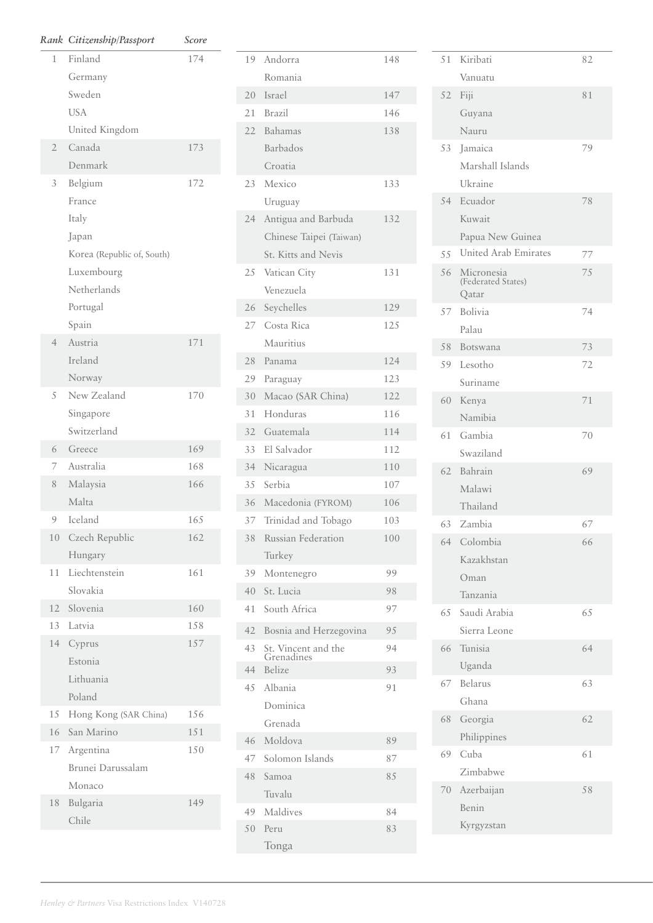|                | Rank Citizenship/Passport  | Score |
|----------------|----------------------------|-------|
| 1              | Finland                    | 174   |
|                | Germany                    |       |
|                | Sweden                     |       |
|                | <b>USA</b>                 |       |
|                | United Kingdom             |       |
| $\overline{2}$ | Canada                     | 173   |
|                | Denmark                    |       |
| 3              | Belgium                    | 172   |
|                | France                     |       |
|                | Italy                      |       |
|                | Japan                      |       |
|                | Korea (Republic of, South) |       |
|                | Luxembourg                 |       |
|                | Netherlands                |       |
|                | Portugal                   |       |
|                | Spain                      |       |
| $\overline{4}$ | Austria                    | 171   |
|                | Ireland                    |       |
|                | Norway                     |       |
| 5              | New Zealand                | 170   |
|                | Singapore                  |       |
|                | Switzerland                |       |
| 6              | Greece                     | 169   |
| 7              | Australia                  | 168   |
| 8              | Malaysia                   | 166   |
|                | Malta                      |       |
| 9              | Iceland                    | 165   |
|                | 10 Czech Republic          | 162   |
|                | Hungary                    |       |
| 11             | Liechtenstein              | 161   |
|                | Slovakia                   |       |
|                | 12 Slovenia                | 160   |
|                | 13 Latvia                  | 158   |
|                | 14 Cyprus                  | 157   |
|                | Estonia                    |       |
|                | Lithuania                  |       |
|                | Poland                     |       |
| 15             | Hong Kong (SAR China)      | 156   |
| 16             | San Marino                 | 151   |
|                | 17 Argentina               | 150   |
|                | Brunei Darussalam          |       |
| 18             | Monaco                     | 149   |
|                | Bulgaria<br>Chile          |       |
|                |                            |       |

| 19 | Andorra                           | 148 |
|----|-----------------------------------|-----|
|    | Romania                           |     |
| 20 | <b>Israel</b>                     | 147 |
| 21 | <b>Brazil</b>                     | 146 |
| 22 | Bahamas                           | 138 |
|    | <b>Barbados</b>                   |     |
|    | Croatia                           |     |
| 23 | Mexico                            | 133 |
|    | Uruguay                           |     |
| 24 | Antigua and Barbuda               | 132 |
|    | Chinese Taipei (Taiwan)           |     |
|    | St. Kitts and Nevis               |     |
| 25 | Vatican City                      | 131 |
|    | Venezuela                         |     |
| 26 | Seychelles                        | 129 |
| 27 | Costa Rica                        | 125 |
|    | Mauritius                         |     |
| 28 | Panama                            | 124 |
| 29 | Paraguay                          | 123 |
| 30 | Macao (SAR China)                 | 122 |
| 31 | Honduras                          | 116 |
| 32 | Guatemala                         | 114 |
| 33 | El Salvador                       | 112 |
| 34 | Nicaragua                         | 110 |
| 35 | Serbia                            | 107 |
| 36 | Macedonia (FYROM)                 | 106 |
| 37 | Trinidad and Tobago               | 103 |
| 38 | Russian Federation                | 100 |
|    | Turkey                            |     |
| 39 | Montenegro                        | 99  |
| 40 | St. Lucia                         | 98  |
| 41 | South Africa                      | 97  |
| 42 | Bosnia and Herzegovina            | 95  |
| 43 | St. Vincent and the<br>Grenadines | 94  |
| 44 | Belize                            | 93  |
| 45 | Albania                           | 91  |
|    | Dominica                          |     |
|    | Grenada                           |     |
| 46 | Moldova                           | 89  |
| 47 | Solomon Islands                   | 87  |
| 48 | Samoa                             | 85  |
|    | Tuvalu                            |     |
| 49 | Maldives                          | 84  |
| 50 | Peru                              | 83  |
|    | Tonga                             |     |
|    |                                   |     |

| 51 | Kiribati                                  | 82 |
|----|-------------------------------------------|----|
|    | Vanuatu                                   |    |
| 52 | Fiji                                      | 81 |
|    | Guyana                                    |    |
|    | Nauru                                     |    |
| 53 | Jamaica                                   | 79 |
|    | Marshall Islands                          |    |
|    | Ukraine                                   |    |
| 54 | Ecuador                                   | 78 |
|    | Kuwait                                    |    |
|    | Papua New Guinea                          |    |
| 55 | United Arab Emirates                      | 77 |
| 56 | Micronesia<br>(Federated States)<br>Qatar | 75 |
| 57 | <b>Bolivia</b>                            | 74 |
|    | Palau                                     |    |
| 58 | Botswana                                  | 73 |
| 59 | Lesotho                                   | 72 |
|    | Suriname                                  |    |
| 60 | Kenya                                     | 71 |
|    | Namibia                                   |    |
| 61 | Gambia                                    | 70 |
|    | Swaziland                                 |    |
| 62 | Bahrain                                   | 69 |
|    | Malawi                                    |    |
|    | Thailand                                  |    |
| 63 | Zambia                                    | 67 |
| 64 | Colombia                                  | 66 |
|    | Kazakhstan                                |    |
|    | Oman                                      |    |
|    | Tanzania                                  |    |
| 65 | Saudi Arabia                              | 65 |
|    | Sierra Leone                              |    |
| 66 | Tunisia                                   | 64 |
|    | Uganda                                    |    |
| 67 | Belarus                                   | 63 |
|    | Ghana                                     |    |
| 68 | Georgia                                   | 62 |
| 69 | Philippines<br>Cuba                       |    |
|    | Zimbabwe                                  | 61 |
| 70 | Azerbaijan                                | 58 |
|    | Benin                                     |    |
|    | Kyrgyzstan                                |    |
|    |                                           |    |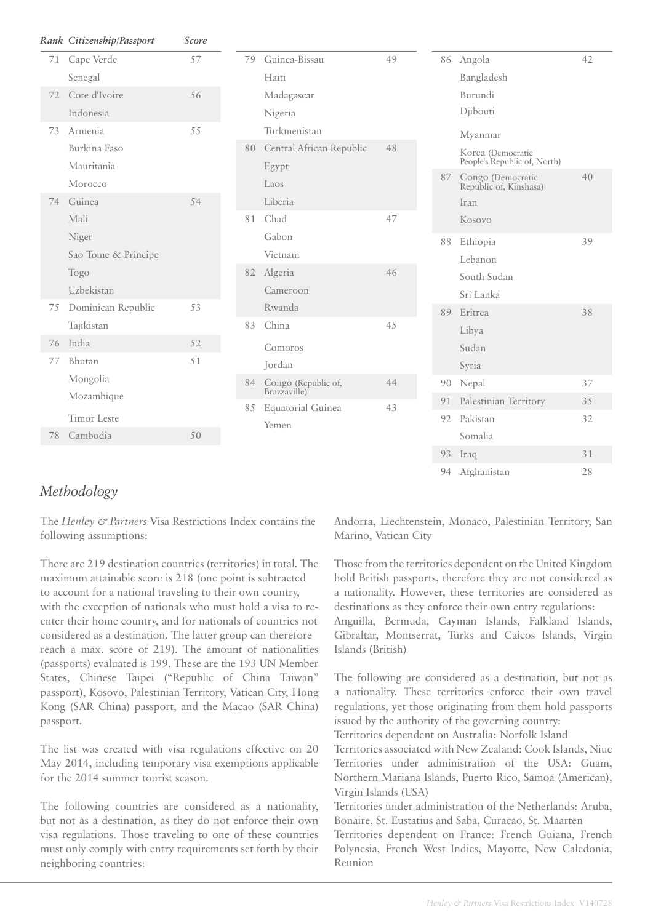|    | Rank Citizenship/Passport | Score |    |    |                                   |    |    |
|----|---------------------------|-------|----|----|-----------------------------------|----|----|
| 71 | Cape Verde                | 57    |    | 79 | Guinea-Bissau                     | 49 | 86 |
|    | Senegal                   |       |    |    | Haiti                             |    |    |
| 72 | Cote d'Ivoire             | 56    |    |    | Madagascar                        |    |    |
|    | Indonesia                 |       |    |    | Nigeria                           |    |    |
| 73 | Armenia                   | 55    |    |    | Turkmenistan                      |    |    |
|    | Burkina Faso              |       |    |    | 80 Central African Republic       | 48 |    |
|    | Mauritania                |       |    |    | Egypt                             |    |    |
|    | Morocco                   |       |    |    | Laos                              |    | 87 |
| 74 | Guinea                    | 54    |    |    | Liberia                           |    |    |
|    | Mali                      |       |    | 81 | Chad                              | 47 |    |
|    | Niger                     |       |    |    | Gabon                             |    | 88 |
|    | Sao Tome & Principe       |       |    | 82 | Vietnam                           |    |    |
|    | Togo                      |       |    |    | Algeria                           | 46 |    |
|    | Uzbekistan                |       |    |    | Cameroon                          |    |    |
| 75 | Dominican Republic        | 53    |    |    | Rwanda                            |    | 89 |
|    | Tajikistan                |       | 83 |    | China                             | 45 |    |
| 76 | India                     | 52    |    |    | Comoros                           |    |    |
| 77 | Bhutan                    | 51    |    |    | Jordan                            |    |    |
|    | Mongolia                  |       |    | 84 | Congo (Republic of,               | 44 | 90 |
|    | Mozambique                |       |    | 85 | Brazzaville)<br>Equatorial Guinea | 43 | 91 |
|    | <b>Timor</b> Leste        |       |    |    | Yemen                             |    | 92 |
| 78 | Cambodia<br>50            |       |    |    |                                   |    |    |
|    |                           |       |    |    |                                   |    | 93 |

|  | 86 | Angola                                            | 42  |
|--|----|---------------------------------------------------|-----|
|  |    | Bangladesh                                        |     |
|  |    | Burundi                                           |     |
|  |    | Djibouti                                          |     |
|  |    | Myanmar                                           |     |
|  |    | Korea (Democratic<br>People's Republic of, North) |     |
|  | 87 | Congo (Democratic<br>Republic of, Kinshasa)       | 40  |
|  |    | Iran                                              |     |
|  |    | Kosovo                                            |     |
|  | 88 | Ethiopia                                          | 39  |
|  |    | Lebanon                                           |     |
|  |    | South Sudan                                       |     |
|  |    | Sri Lanka                                         |     |
|  | 89 | Eritrea                                           | 38  |
|  |    | Libya                                             |     |
|  |    | Sudan                                             |     |
|  |    | Syria                                             |     |
|  | 90 | Nepal                                             | 37  |
|  | 91 | Palestinian Territory                             | 3.5 |
|  | 92 | Pakistan                                          | 32  |
|  |    | Somalia                                           |     |
|  | 93 | Iraq                                              | 31  |
|  | 94 | Afghanistan                                       | 28  |

#### *Methodology*

The *Henley & Partners* Visa Restrictions Index contains the following assumptions:

There are 219 destination countries (territories) in total. The maximum attainable score is 218 (one point is subtracted to account for a national traveling to their own country, with the exception of nationals who must hold a visa to reenter their home country, and for nationals of countries not considered as a destination. The latter group can therefore reach a max. score of 219). The amount of nationalities (passports) evaluated is 199. These are the 193 UN Member States, Chinese Taipei ("Republic of China Taiwan" passport), Kosovo, Palestinian Territory, Vatican City, Hong Kong (SAR China) passport, and the Macao (SAR China) passport.

The list was created with visa regulations effective on 20 May 2014, including temporary visa exemptions applicable for the 2014 summer tourist season.

The following countries are considered as a nationality, but not as a destination, as they do not enforce their own visa regulations. Those traveling to one of these countries must only comply with entry requirements set forth by their neighboring countries:

Andorra, Liechtenstein, Monaco, Palestinian Territory, San Marino, Vatican City

Those from the territories dependent on the United Kingdom hold British passports, therefore they are not considered as a nationality. However, these territories are considered as destinations as they enforce their own entry regulations:

Anguilla, Bermuda, Cayman Islands, Falkland Islands, Gibraltar, Montserrat, Turks and Caicos Islands, Virgin Islands (British)

The following are considered as a destination, but not as a nationality. These territories enforce their own travel regulations, yet those originating from them hold passports issued by the authority of the governing country:

Territories dependent on Australia: Norfolk Island

Territories associated with New Zealand: Cook Islands, Niue Territories under administration of the USA: Guam, Northern Mariana Islands, Puerto Rico, Samoa (American), Virgin Islands (USA)

Territories under administration of the Netherlands: Aruba, Bonaire, St. Eustatius and Saba, Curacao, St. Maarten

Territories dependent on France: French Guiana, French Polynesia, French West Indies, Mayotte, New Caledonia, Reunion